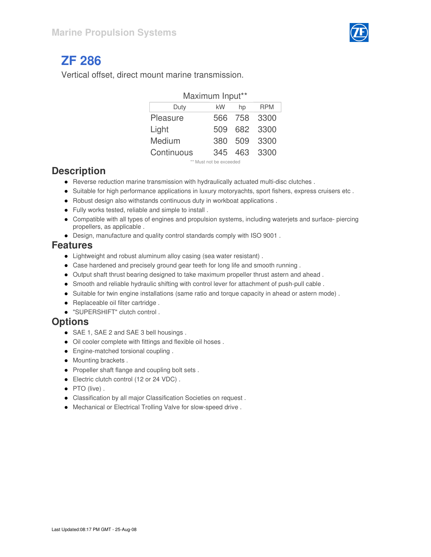

# **ZF 286**

Vertical offset, direct mount marine transmission.

| Maximum Input** |     |         |              |  |  |  |  |  |  |  |  |
|-----------------|-----|---------|--------------|--|--|--|--|--|--|--|--|
| Duty            | kW  | hp      | <b>RPM</b>   |  |  |  |  |  |  |  |  |
| Pleasure        |     | 566 758 | 3300         |  |  |  |  |  |  |  |  |
| Light           |     |         | 509 682 3300 |  |  |  |  |  |  |  |  |
| Medium          | 380 | 509     | 3300         |  |  |  |  |  |  |  |  |
| Continuous      | 345 |         | 463 3300     |  |  |  |  |  |  |  |  |
|                 |     |         |              |  |  |  |  |  |  |  |  |

\*\* Must not be exceeded

#### **Description**

- Reverse reduction marine transmission with hydraulically actuated multi-disc clutches .
- Suitable for high performance applications in luxury motoryachts, sport fishers, express cruisers etc.
- Robust design also withstands continuous duty in workboat applications .
- Fully works tested, reliable and simple to install .
- Compatible with all types of engines and propulsion systems, including waterjets and surface- piercing propellers, as applicable .
- Design, manufacture and quality control standards comply with ISO 9001 .

#### **Features**

- Lightweight and robust aluminum alloy casing (sea water resistant) .
- Case hardened and precisely ground gear teeth for long life and smooth running .
- Output shaft thrust bearing designed to take maximum propeller thrust astern and ahead .
- Smooth and reliable hydraulic shifting with control lever for attachment of push-pull cable .
- Suitable for twin engine installations (same ratio and torque capacity in ahead or astern mode) .
- Replaceable oil filter cartridge.
- "SUPERSHIFT" clutch control .

#### **Options**

- SAE 1, SAE 2 and SAE 3 bell housings .
- Oil cooler complete with fittings and flexible oil hoses .
- **•** Engine-matched torsional coupling .
- Mounting brackets.
- Propeller shaft flange and coupling bolt sets.
- **Electric clutch control (12 or 24 VDC).**
- PTO (live).
- Classification by all major Classification Societies on request .
- Mechanical or Electrical Trolling Valve for slow-speed drive .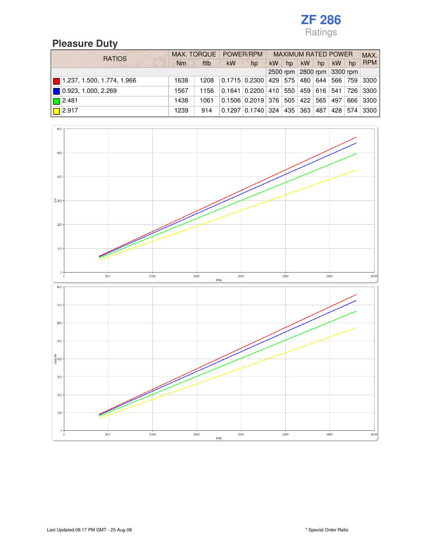# **Pleasure Duty**

| <b>RATIOS</b>                             |      | MAX. TORQUE POWER/RPM |                            |                                                              | <b>MAXIMUM RATED POWER</b> |    |           |    |           |     | MAX.         |
|-------------------------------------------|------|-----------------------|----------------------------|--------------------------------------------------------------|----------------------------|----|-----------|----|-----------|-----|--------------|
|                                           | Nm   | ftlb                  | <b>kW</b>                  | hp                                                           | <b>kW</b>                  | hp | <b>kW</b> | hp | <b>kW</b> | hp  | <b>RPM</b>   |
|                                           |      |                       | 2500 rpm 2800 rpm 3300 rpm |                                                              |                            |    |           |    |           |     |              |
| $\blacksquare$ 1.237, 1.500, 1.774, 1.966 | 1638 | 1208                  |                            | $0.1715$ $0.2300$ $429$ $575$ $480$ $644$                    |                            |    |           |    |           |     | 566 759 3300 |
| $\blacksquare$ 0.923, 1.000, 2.269        | 1567 | 1156                  |                            | $0.1641$ $0.2200$ $410$ $550$ $459$ $616$ $541$ $726$ $3300$ |                            |    |           |    |           |     |              |
| $\Box$ 2.481                              | 1438 | 1061                  |                            | $0.1506$ $0.2019$ 376 505 422 565 497                        |                            |    |           |    |           | 666 | 3300         |
| $\sqrt{2.917}$                            | 1239 | 914                   |                            | $0.1297$ 0.1740 324 435 363 487                              |                            |    |           |    |           |     | 428 574 3300 |

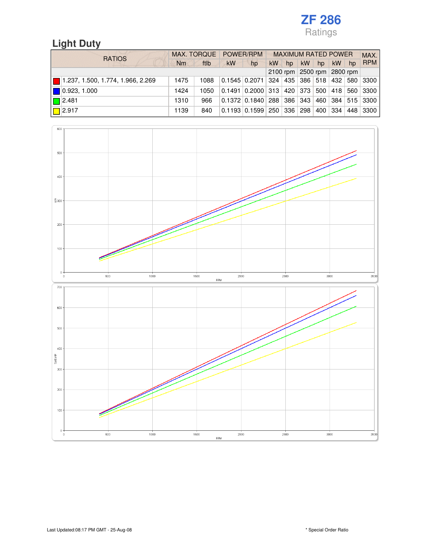# **Light Duty**

| <b>RATIOS</b>                     | MAX. TORQUE POWER/RPM |      |                            |                                                                | <b>MAXIMUM RATED POWER</b> |    |           |    |           |    |                        |
|-----------------------------------|-----------------------|------|----------------------------|----------------------------------------------------------------|----------------------------|----|-----------|----|-----------|----|------------------------|
|                                   | Nm                    | ftlb | <b>kW</b>                  | hp                                                             | kW                         | hp | <b>kW</b> | hp | <b>kW</b> | hp | <b>RPM</b>             |
|                                   |                       |      | 2100 rpm 2500 rpm 2800 rpm |                                                                |                            |    |           |    |           |    |                        |
| 1.237, 1.500, 1.774, 1.966, 2.269 | 1475                  | 1088 |                            | 0.1545 0.2071 324 435 386 518 432 580 3300                     |                            |    |           |    |           |    |                        |
| $\blacksquare$ 0.923, 1.000       | 1424                  | 1050 |                            | $0.1491$ $0.2000$ $313$ $420$ $373$ $500$ $418$ $560$ $3300$ l |                            |    |           |    |           |    |                        |
| $\blacksquare$ 2.481              | 1310                  | 966  |                            | $0.1372$ $0.1840$ $288$ $386$ $343$ $\pm$                      |                            |    |           |    |           |    | 460   384   515   3300 |
| $\Box$ 2.917                      | 1139                  | 840  |                            | $0.1193$ 0.1599 250 336 298                                    |                            |    |           |    |           |    | 400   334   448   3300 |

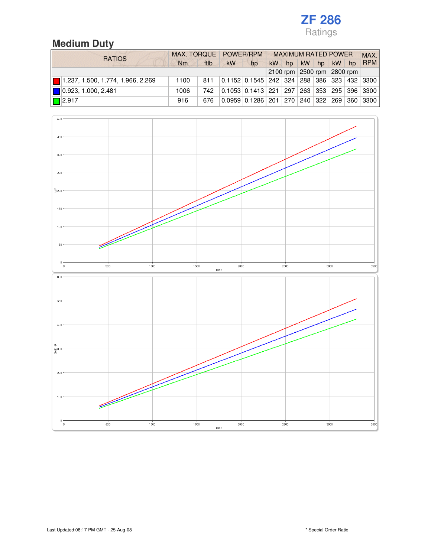# **Medium Duty**

| <b>RATIOS</b>                                    |      | MAX. TORQUE POWER/RPM<br><b>MAXIMUM RATED POWER</b> |                            |                                                              |           |    |           |    |           | MAX. |            |
|--------------------------------------------------|------|-----------------------------------------------------|----------------------------|--------------------------------------------------------------|-----------|----|-----------|----|-----------|------|------------|
|                                                  | Nm   | ftlb                                                | <b>kW</b>                  | hp                                                           | <b>kW</b> | hp | <b>kW</b> | hp | <b>kW</b> | hp   | <b>RPM</b> |
|                                                  |      |                                                     | 2100 rpm 2500 rpm 2800 rpm |                                                              |           |    |           |    |           |      |            |
| $\blacksquare$ 1.237, 1.500, 1.774, 1.966, 2.269 | 1100 | 811                                                 |                            | 0.1152 0.1545 242 324 288 386 323 432 3300                   |           |    |           |    |           |      |            |
| 0.923, 1.000, 2.481                              | 1006 | 742.                                                |                            | 0.1053 0.1413 221 297 263 353 295 396 3300                   |           |    |           |    |           |      |            |
| $\Box$ 2.917                                     | 916  | 676                                                 |                            | $0.0959$ $0.1286$ $201$ $270$ $240$ $322$ $269$ $360$ $3300$ |           |    |           |    |           |      |            |

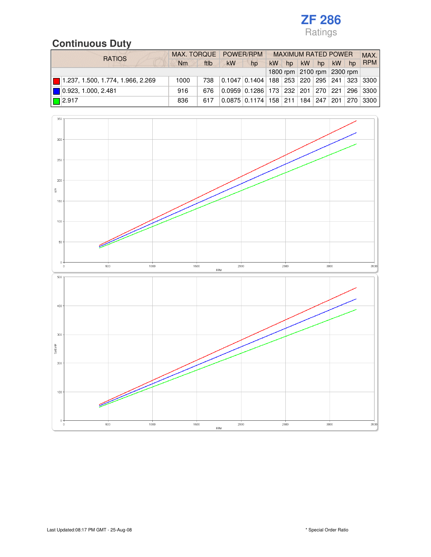# **Continuous Duty**

| <b>RATIOS</b>                     |      |      | MAX. TORQUE POWER/RPM      |                                                            | <b>MAXIMUM RATED POWER</b> |    |           |           |           |       | MAX.             |
|-----------------------------------|------|------|----------------------------|------------------------------------------------------------|----------------------------|----|-----------|-----------|-----------|-------|------------------|
|                                   | Nm   | ftlb | <b>kW</b>                  | hp                                                         | <b>kW</b>                  | hp | <b>kW</b> | hp        | <b>kW</b> | $h$ p | <b>RPM</b>       |
|                                   |      |      | 1800 rpm 2100 rpm 2300 rpm |                                                            |                            |    |           |           |           |       |                  |
| 1.237, 1.500, 1.774, 1.966, 2.269 | 1000 | 738  |                            | 0.1047   0.1404   188   253   220   295   241   323   3300 |                            |    |           |           |           |       |                  |
| 0.923, 1.000, 2.481               | 916  | 676  |                            | 0.0959 0.1286 173 232 201 270 221 296 3300                 |                            |    |           |           |           |       |                  |
| $\Box$ 2.917                      | 836  | 617  |                            | $0.0875$ $0.1174$ 158 211                                  |                            |    |           | 184   247 |           |       | 201   270   3300 |

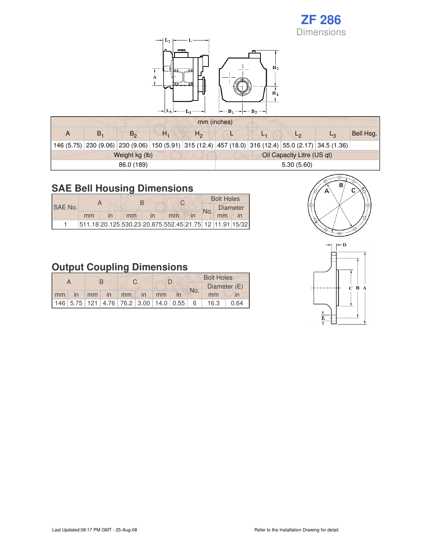

|    |                |    |              | mm (inches)                |    |  |                                                                                                      |           |  |  |
|----|----------------|----|--------------|----------------------------|----|--|------------------------------------------------------------------------------------------------------|-----------|--|--|
| В. | $B_{\alpha}$   | Н. | $H_{\Omega}$ |                            | ь, |  |                                                                                                      | Bell Hsg. |  |  |
|    |                |    |              |                            |    |  | 146 (5.75) 230 (9.06) 230 (9.06) 150 (5.91) 315 (12.4) 457 (18.0) 316 (12.4) 55.0 (2.17) 34.5 (1.36) |           |  |  |
|    | Weight kg (lb) |    |              | Oil Capacity Litre (US qt) |    |  |                                                                                                      |           |  |  |
|    | 86.0 (189)     |    |              | 5.30(5.60)                 |    |  |                                                                                                      |           |  |  |

### **SAE Bell Housing Dimensions**

| SAE No. |                                                               |    |                         | C. | <b>Bolt Holes</b> |                 |  |  |
|---------|---------------------------------------------------------------|----|-------------------------|----|-------------------|-----------------|--|--|
|         |                                                               |    |                         |    | No.               | <b>Diameter</b> |  |  |
|         | mm                                                            | mm | $\overline{\mathsf{m}}$ | mm |                   | mm              |  |  |
|         | 511.18 20.125 530.23 20.875 552.45 21.75 12 11.91 15/32 15/32 |    |                         |    |                   |                 |  |  |

# **Output Coupling Dimensions**

|    |                                                           |      | R  |    |    |     |              | <b>Bolt Holes</b> |      |
|----|-----------------------------------------------------------|------|----|----|----|-----|--------------|-------------------|------|
|    |                                                           |      |    |    |    | No. | Diameter (E) |                   |      |
| mm | in                                                        | mm / | in | mm | in | mm  |              | mm                |      |
|    | $146$ $5.75$ $121$ $4.76$ $76.2$ $3.00$ $14.0$ $0.55$ $6$ |      |    |    |    |     |              | 16.3              | 0.64 |